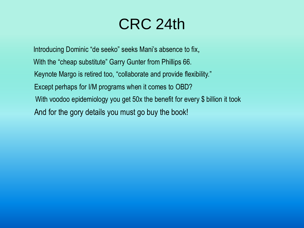# CRC 24th

And for the gory details you must go buy the book! Introducing Dominic "de seeko" seeks Mani's absence to fix, With the "cheap substitute" Garry Gunter from Phillips 66. Keynote Margo is retired too, "collaborate and provide flexibility." With voodoo epidemiology you get 50x the benefit for every \$ billion it took Except perhaps for I/M programs when it comes to OBD?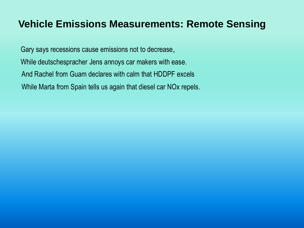#### **Vehicle Emissions Measurements: Remote Sensing**

Gary says recessions cause emissions not to decrease, While deutschespracher Jens annoys car makers with ease. And Rachel from Guam declares with calm that HDDPF excels While Marta from Spain tells us again that diesel car NOx repels.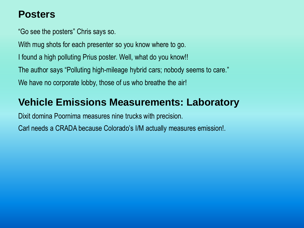#### **Posters**

"Go see the posters" Chris says so.

With mug shots for each presenter so you know where to go.

I found a high polluting Prius poster. Well, what do you know!!

The author says "Polluting high-mileage hybrid cars; nobody seems to care."

We have no corporate lobby, those of us who breathe the air!

#### **Vehicle Emissions Measurements: Laboratory**

Dixit domina Poornima measures nine trucks with precision.

Carl needs a CRADA because Colorado's I/M actually measures emission!.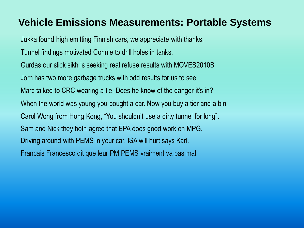## **Vehicle Emissions Measurements: Portable Systems**

Jukka found high emitting Finnish cars, we appreciate with thanks. Tunnel findings motivated Connie to drill holes in tanks. Gurdas our slick sikh is seeking real refuse results with MOVES2010B Jorn has two more garbage trucks with odd results for us to see. Marc talked to CRC wearing a tie. Does he know of the danger it's in? When the world was young you bought a car. Now you buy a tier and a bin. Carol Wong from Hong Kong, "You shouldn't use a dirty tunnel for long". Sam and Nick they both agree that EPA does good work on MPG. Driving around with PEMS in your car. ISA will hurt says Karl. Francais Francesco dit que leur PM PEMS vraiment va pas mal.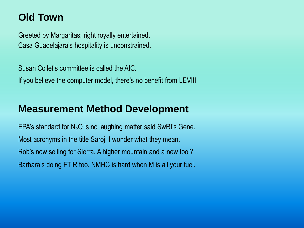## **Old Town**

Greeted by Margaritas; right royally entertained. Casa Guadelajara's hospitality is unconstrained.

Susan Collet's committee is called the AIC. If you believe the computer model, there's no benefit from LEVIII.

#### **Measurement Method Development**

EPA's standard for  $N_2O$  is no laughing matter said SwRI's Gene. Most acronyms in the title Saroj; I wonder what they mean. Rob's now selling for Sierra. A higher mountain and a new tool? Barbara's doing FTIR too. NMHC is hard when M is all your fuel.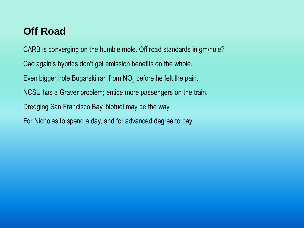## **Off Road**

CARB is converging on the humble mole. Off road standards in gm/hole? Cao again's hybrids don't get emission benefits on the whole. Even bigger hole Bugarski ran from NO<sub>2</sub> before he felt the pain. NCSU has a Graver problem; entice more passengers on the train. Dredging San Francisco Bay, biofuel may be the way For Nicholas to spend a day, and for advanced degree to pay.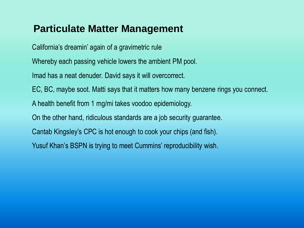#### **Particulate Matter Management**

California's dreamin' again of a gravimetric rule

Whereby each passing vehicle lowers the ambient PM pool.

Imad has a neat denuder. David says it will overcorrect.

EC, BC, maybe soot. Matti says that it matters how many benzene rings you connect.

A health benefit from 1 mg/mi takes voodoo epidemiology.

On the other hand, ridiculous standards are a job security guarantee.

Cantab Kingsley's CPC is hot enough to cook your chips (and fish).

Yusuf Khan's BSPN is trying to meet Cummins' reproducibility wish.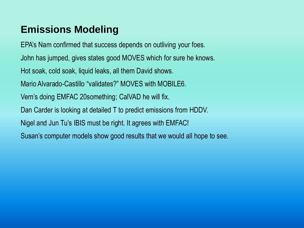# **Emissions Modeling**

EPA's Nam confirmed that success depends on outliving your foes. John has jumped, gives states good MOVES which for sure he knows. Hot soak, cold soak, liquid leaks, all them David shows. Mario Alvarado-Castillo "validates?" MOVES with MOBILE6. Vern's doing EMFAC 20something; CalVAD he will fix. Dan Carder is looking at detailed T to predict emissions from HDDV. Nigel and Jun Tu's IBIS must be right. It agrees with EMFAC! Susan's computer models show good results that we would all hope to see.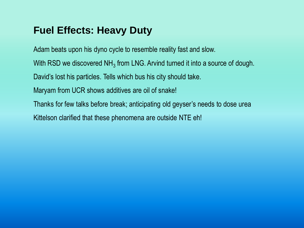## **Fuel Effects: Heavy Duty**

Adam beats upon his dyno cycle to resemble reality fast and slow.

With RSD we discovered NH<sub>3</sub> from LNG. Arvind turned it into a source of dough.

David's lost his particles. Tells which bus his city should take.

Maryam from UCR shows additives are oil of snake!

Thanks for few talks before break; anticipating old geyser's needs to dose urea

Kittelson clarified that these phenomena are outside NTE eh!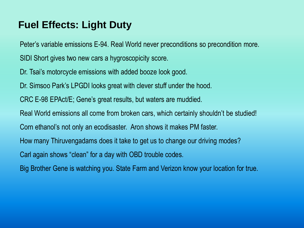## **Fuel Effects: Light Duty**

Peter's variable emissions E-94. Real World never preconditions so precondition more.

SIDI Short gives two new cars a hygroscopicity score.

Dr. Tsai's motorcycle emissions with added booze look good.

Dr. Simsoo Park's LPGDI looks great with clever stuff under the hood.

CRC E-98 EPAct/E; Gene's great results, but waters are muddied.

Real World emissions all come from broken cars, which certainly shouldn't be studied!

Corn ethanol's not only an ecodisaster. Aron shows it makes PM faster.

How many Thiruvengadams does it take to get us to change our driving modes?

Carl again shows "clean" for a day with OBD trouble codes.

Big Brother Gene is watching you. State Farm and Verizon know your location for true.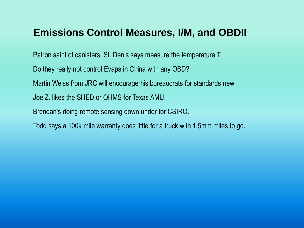#### **Emissions Control Measures, I/M, and OBDII**

Patron saint of canisters, St. Denis says measure the temperature T.

Do they really not control Evaps in China with any OBD?

Martin Weiss from JRC will encourage his bureaucrats for standards new

Joe Z. likes the SHED or OHMS for Texas AMU.

Brendan's doing remote sensing down under for CSIRO.

Todd says a 100k mile warranty does little for a truck with 1.5mm miles to go.